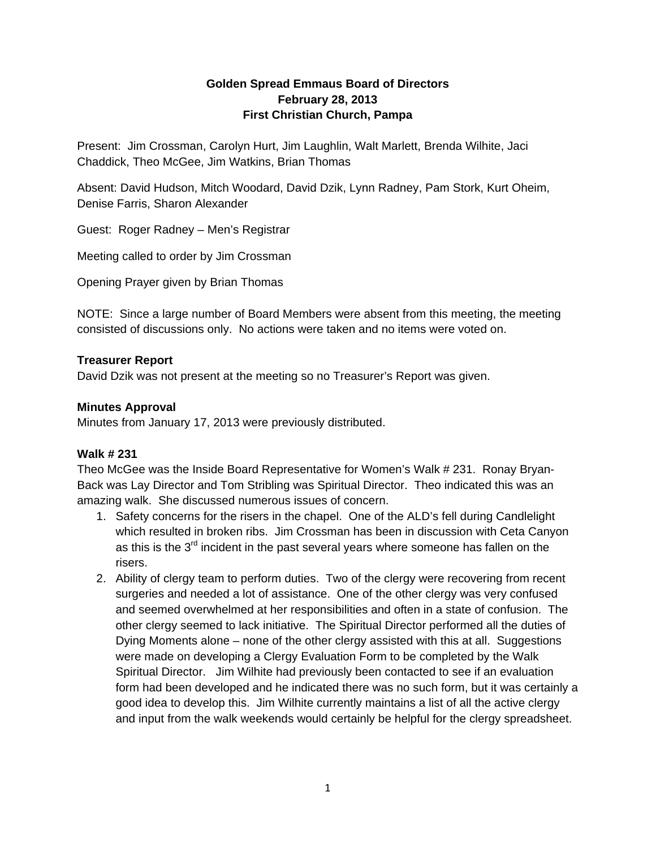# **Golden Spread Emmaus Board of Directors February 28, 2013 First Christian Church, Pampa**

Present: Jim Crossman, Carolyn Hurt, Jim Laughlin, Walt Marlett, Brenda Wilhite, Jaci Chaddick, Theo McGee, Jim Watkins, Brian Thomas

Absent: David Hudson, Mitch Woodard, David Dzik, Lynn Radney, Pam Stork, Kurt Oheim, Denise Farris, Sharon Alexander

Guest: Roger Radney – Men's Registrar

Meeting called to order by Jim Crossman

Opening Prayer given by Brian Thomas

NOTE: Since a large number of Board Members were absent from this meeting, the meeting consisted of discussions only. No actions were taken and no items were voted on.

## **Treasurer Report**

David Dzik was not present at the meeting so no Treasurer's Report was given.

## **Minutes Approval**

Minutes from January 17, 2013 were previously distributed.

# **Walk # 231**

Theo McGee was the Inside Board Representative for Women's Walk # 231. Ronay Bryan-Back was Lay Director and Tom Stribling was Spiritual Director. Theo indicated this was an amazing walk. She discussed numerous issues of concern.

- 1. Safety concerns for the risers in the chapel. One of the ALD's fell during Candlelight which resulted in broken ribs. Jim Crossman has been in discussion with Ceta Canyon as this is the  $3<sup>rd</sup>$  incident in the past several years where someone has fallen on the risers.
- 2. Ability of clergy team to perform duties. Two of the clergy were recovering from recent surgeries and needed a lot of assistance. One of the other clergy was very confused and seemed overwhelmed at her responsibilities and often in a state of confusion. The other clergy seemed to lack initiative. The Spiritual Director performed all the duties of Dying Moments alone – none of the other clergy assisted with this at all. Suggestions were made on developing a Clergy Evaluation Form to be completed by the Walk Spiritual Director. Jim Wilhite had previously been contacted to see if an evaluation form had been developed and he indicated there was no such form, but it was certainly a good idea to develop this. Jim Wilhite currently maintains a list of all the active clergy and input from the walk weekends would certainly be helpful for the clergy spreadsheet.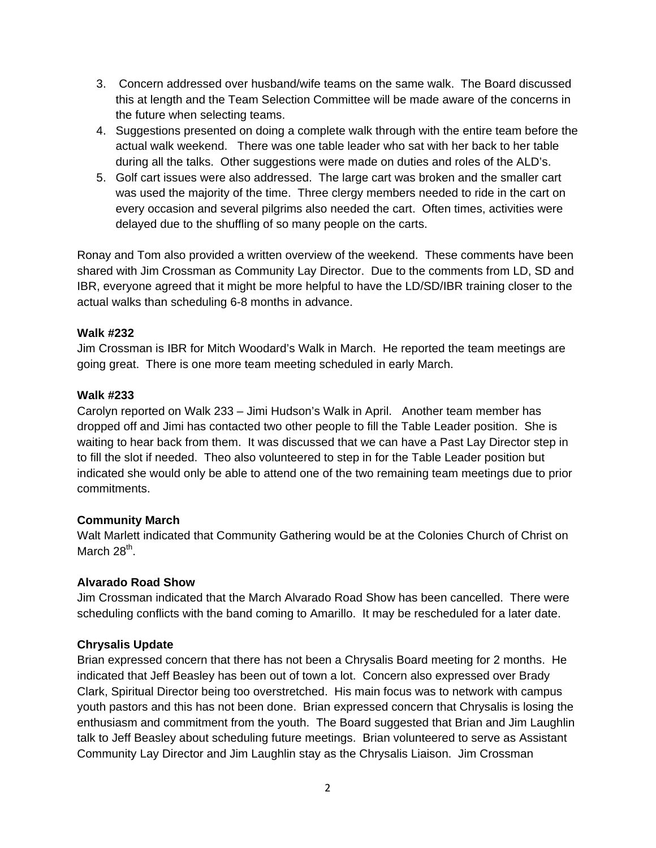- 3. Concern addressed over husband/wife teams on the same walk. The Board discussed this at length and the Team Selection Committee will be made aware of the concerns in the future when selecting teams.
- 4. Suggestions presented on doing a complete walk through with the entire team before the actual walk weekend. There was one table leader who sat with her back to her table during all the talks. Other suggestions were made on duties and roles of the ALD's.
- 5. Golf cart issues were also addressed. The large cart was broken and the smaller cart was used the majority of the time. Three clergy members needed to ride in the cart on every occasion and several pilgrims also needed the cart. Often times, activities were delayed due to the shuffling of so many people on the carts.

Ronay and Tom also provided a written overview of the weekend. These comments have been shared with Jim Crossman as Community Lay Director. Due to the comments from LD, SD and IBR, everyone agreed that it might be more helpful to have the LD/SD/IBR training closer to the actual walks than scheduling 6-8 months in advance.

## **Walk #232**

Jim Crossman is IBR for Mitch Woodard's Walk in March. He reported the team meetings are going great. There is one more team meeting scheduled in early March.

## **Walk #233**

Carolyn reported on Walk 233 – Jimi Hudson's Walk in April. Another team member has dropped off and Jimi has contacted two other people to fill the Table Leader position. She is waiting to hear back from them. It was discussed that we can have a Past Lay Director step in to fill the slot if needed. Theo also volunteered to step in for the Table Leader position but indicated she would only be able to attend one of the two remaining team meetings due to prior commitments.

# **Community March**

Walt Marlett indicated that Community Gathering would be at the Colonies Church of Christ on March  $28^{th}$ .

# **Alvarado Road Show**

Jim Crossman indicated that the March Alvarado Road Show has been cancelled. There were scheduling conflicts with the band coming to Amarillo. It may be rescheduled for a later date.

# **Chrysalis Update**

Brian expressed concern that there has not been a Chrysalis Board meeting for 2 months. He indicated that Jeff Beasley has been out of town a lot. Concern also expressed over Brady Clark, Spiritual Director being too overstretched. His main focus was to network with campus youth pastors and this has not been done. Brian expressed concern that Chrysalis is losing the enthusiasm and commitment from the youth. The Board suggested that Brian and Jim Laughlin talk to Jeff Beasley about scheduling future meetings. Brian volunteered to serve as Assistant Community Lay Director and Jim Laughlin stay as the Chrysalis Liaison. Jim Crossman